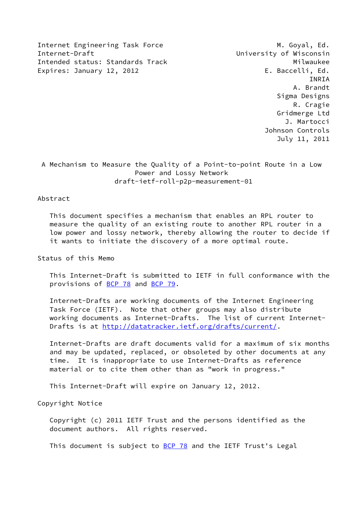Internet Engineering Task Force M. Goyal, Ed. Internet-Draft University of Wisconsin Intended status: Standards Track Milwaukee Expires: January 12, 2012 **E. Baccelli, Ed.** 

 INRIA A. Brandt Sigma Designs R. Cragie Gridmerge Ltd J. Martocci Johnson Controls July 11, 2011

 A Mechanism to Measure the Quality of a Point-to-point Route in a Low Power and Lossy Network draft-ietf-roll-p2p-measurement-01

# Abstract

 This document specifies a mechanism that enables an RPL router to measure the quality of an existing route to another RPL router in a low power and lossy network, thereby allowing the router to decide if it wants to initiate the discovery of a more optimal route.

Status of this Memo

 This Internet-Draft is submitted to IETF in full conformance with the provisions of [BCP 78](https://datatracker.ietf.org/doc/pdf/bcp78) and [BCP 79](https://datatracker.ietf.org/doc/pdf/bcp79).

 Internet-Drafts are working documents of the Internet Engineering Task Force (IETF). Note that other groups may also distribute working documents as Internet-Drafts. The list of current Internet Drafts is at<http://datatracker.ietf.org/drafts/current/>.

 Internet-Drafts are draft documents valid for a maximum of six months and may be updated, replaced, or obsoleted by other documents at any time. It is inappropriate to use Internet-Drafts as reference material or to cite them other than as "work in progress."

This Internet-Draft will expire on January 12, 2012.

Copyright Notice

 Copyright (c) 2011 IETF Trust and the persons identified as the document authors. All rights reserved.

This document is subject to **[BCP 78](https://datatracker.ietf.org/doc/pdf/bcp78)** and the IETF Trust's Legal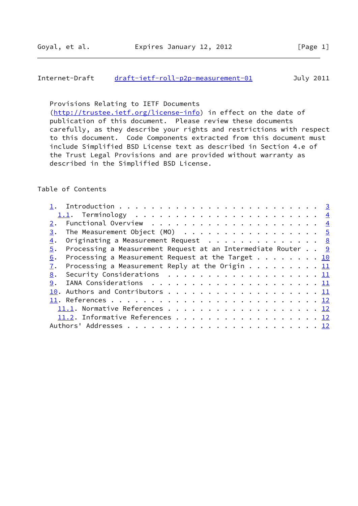## Internet-Draft [draft-ietf-roll-p2p-measurement-01](https://datatracker.ietf.org/doc/pdf/draft-ietf-roll-p2p-measurement-01) July 2011

Provisions Relating to IETF Documents

[\(http://trustee.ietf.org/license-info](http://trustee.ietf.org/license-info)) in effect on the date of publication of this document. Please review these documents carefully, as they describe your rights and restrictions with respect to this document. Code Components extracted from this document must include Simplified BSD License text as described in Section 4.e of the Trust Legal Provisions and are provided without warranty as described in the Simplified BSD License.

#### Table of Contents

| Functional Overview $\cdots \cdots \cdots \cdots \cdots$<br>2.     |  |  |  |  |  |  |  |  |  |  |
|--------------------------------------------------------------------|--|--|--|--|--|--|--|--|--|--|
| 3.                                                                 |  |  |  |  |  |  |  |  |  |  |
| Originating a Measurement Request $\cdots$ 8<br>4.                 |  |  |  |  |  |  |  |  |  |  |
| Processing a Measurement Request at an Intermediate Router 9<br>5. |  |  |  |  |  |  |  |  |  |  |
| Processing a Measurement Request at the Target 10<br>6.            |  |  |  |  |  |  |  |  |  |  |
| Processing a Measurement Reply at the Origin 11<br>7.              |  |  |  |  |  |  |  |  |  |  |
| Security Considerations $\ldots$ 11<br>8.                          |  |  |  |  |  |  |  |  |  |  |
|                                                                    |  |  |  |  |  |  |  |  |  |  |
|                                                                    |  |  |  |  |  |  |  |  |  |  |
|                                                                    |  |  |  |  |  |  |  |  |  |  |
| 11.1. Normative References 12                                      |  |  |  |  |  |  |  |  |  |  |
| 11.2. Informative References 12                                    |  |  |  |  |  |  |  |  |  |  |
|                                                                    |  |  |  |  |  |  |  |  |  |  |
|                                                                    |  |  |  |  |  |  |  |  |  |  |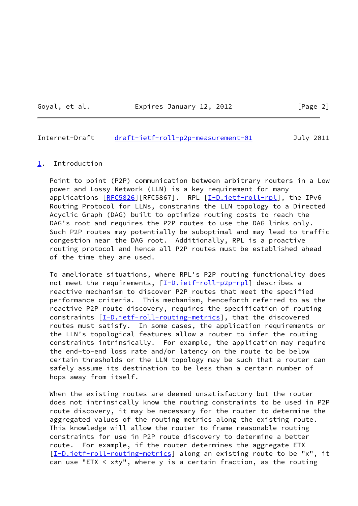Goyal, et al. **Expires January 12, 2012** [Page 2]

#### <span id="page-2-1"></span>Internet-Draft [draft-ietf-roll-p2p-measurement-01](https://datatracker.ietf.org/doc/pdf/draft-ietf-roll-p2p-measurement-01) July 2011

#### <span id="page-2-0"></span>[1](#page-2-0). Introduction

 Point to point (P2P) communication between arbitrary routers in a Low power and Lossy Network (LLN) is a key requirement for many applications [\[RFC5826](https://datatracker.ietf.org/doc/pdf/rfc5826)][RFC5867]. RPL [[I-D.ietf-roll-rpl\]](#page-12-4), the IPv6 Routing Protocol for LLNs, constrains the LLN topology to a Directed Acyclic Graph (DAG) built to optimize routing costs to reach the DAG's root and requires the P2P routes to use the DAG links only. Such P2P routes may potentially be suboptimal and may lead to traffic congestion near the DAG root. Additionally, RPL is a proactive routing protocol and hence all P2P routes must be established ahead of the time they are used.

 To ameliorate situations, where RPL's P2P routing functionality does not meet the requirements, [[I-D.ietf-roll-p2p-rpl\]](#page-12-5) describes a reactive mechanism to discover P2P routes that meet the specified performance criteria. This mechanism, henceforth referred to as the reactive P2P route discovery, requires the specification of routing constraints  $[I-D.iett-roll-routine-metrics]$ , that the discovered routes must satisfy. In some cases, the application requirements or the LLN's topological features allow a router to infer the routing constraints intrinsically. For example, the application may require the end-to-end loss rate and/or latency on the route to be below certain thresholds or the LLN topology may be such that a router can safely assume its destination to be less than a certain number of hops away from itself.

 When the existing routes are deemed unsatisfactory but the router does not intrinsically know the routing constraints to be used in P2P route discovery, it may be necessary for the router to determine the aggregated values of the routing metrics along the existing route. This knowledge will allow the router to frame reasonable routing constraints for use in P2P route discovery to determine a better route. For example, if the router determines the aggregate ETX [\[I-D.ietf-roll-routing-metrics](#page-12-6)] along an existing route to be "x", it can use "ETX  $\langle x*y"$ , where y is a certain fraction, as the routing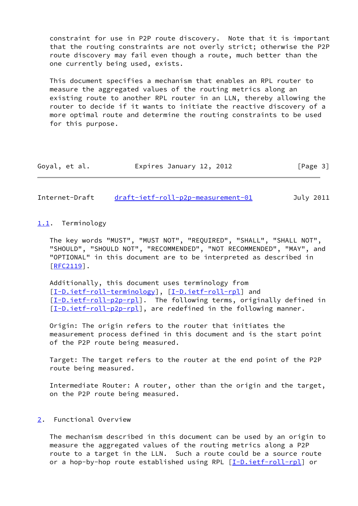constraint for use in P2P route discovery. Note that it is important that the routing constraints are not overly strict; otherwise the P2P route discovery may fail even though a route, much better than the one currently being used, exists.

 This document specifies a mechanism that enables an RPL router to measure the aggregated values of the routing metrics along an existing route to another RPL router in an LLN, thereby allowing the router to decide if it wants to initiate the reactive discovery of a more optimal route and determine the routing constraints to be used for this purpose.

| Goyal, et al. | Expires January 12, 2012 | [Page 3] |
|---------------|--------------------------|----------|
|---------------|--------------------------|----------|

<span id="page-3-1"></span>Internet-Draft [draft-ietf-roll-p2p-measurement-01](https://datatracker.ietf.org/doc/pdf/draft-ietf-roll-p2p-measurement-01) July 2011

#### <span id="page-3-0"></span>[1.1](#page-3-0). Terminology

 The key words "MUST", "MUST NOT", "REQUIRED", "SHALL", "SHALL NOT", "SHOULD", "SHOULD NOT", "RECOMMENDED", "NOT RECOMMENDED", "MAY", and "OPTIONAL" in this document are to be interpreted as described in [\[RFC2119](https://datatracker.ietf.org/doc/pdf/rfc2119)].

 Additionally, this document uses terminology from [\[I-D.ietf-roll-terminology](#page-13-0)], [\[I-D.ietf-roll-rpl\]](#page-12-4) and [\[I-D.ietf-roll-p2p-rpl](#page-12-5)]. The following terms, originally defined in [\[I-D.ietf-roll-p2p-rpl](#page-12-5)], are redefined in the following manner.

 Origin: The origin refers to the router that initiates the measurement process defined in this document and is the start point of the P2P route being measured.

 Target: The target refers to the router at the end point of the P2P route being measured.

 Intermediate Router: A router, other than the origin and the target, on the P2P route being measured.

## <span id="page-3-2"></span>[2](#page-3-2). Functional Overview

 The mechanism described in this document can be used by an origin to measure the aggregated values of the routing metrics along a P2P route to a target in the LLN. Such a route could be a source route or a hop-by-hop route established using RPL [\[I-D.ietf-roll-rpl](#page-12-4)] or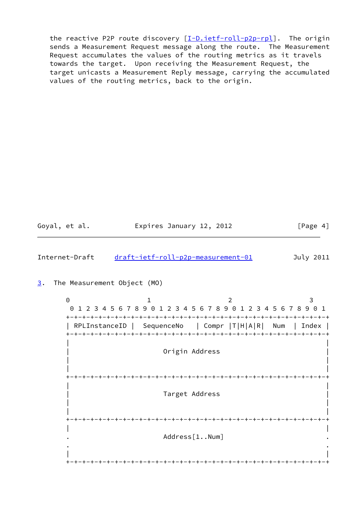the reactive P2P route discovery [\[I-D.ietf-roll-p2p-rpl\]](#page-12-5). The origin sends a Measurement Request message along the route. The Measurement Request accumulates the values of the routing metrics as it travels towards the target. Upon receiving the Measurement Request, the target unicasts a Measurement Reply message, carrying the accumulated values of the routing metrics, back to the origin.

Goyal, et al. **Expires January 12, 2012** [Page 4]

<span id="page-4-1"></span>Internet-Draft [draft-ietf-roll-p2p-measurement-01](https://datatracker.ietf.org/doc/pdf/draft-ietf-roll-p2p-measurement-01) July 2011

<span id="page-4-0"></span>[3](#page-4-0). The Measurement Object (MO)

0 1 2 3 0 1 2 3 4 5 6 7 8 9 0 1 2 3 4 5 6 7 8 9 0 1 2 3 4 5 6 7 8 9 0 1 +-+-+-+-+-+-+-+-+-+-+-+-+-+-+-+-+-+-+-+-+-+-+-+-+-+-+-+-+-+-+-+-+ | RPLInstanceID | SequenceNo | Compr |T|H|A|R| Num | Index | +-+-+-+-+-+-+-+-+-+-+-+-+-+-+-+-+-+-+-+-+-+-+-+-+-+-+-+-+-+-+-+-+ | | Origin Address | | | | +-+-+-+-+-+-+-+-+-+-+-+-+-+-+-+-+-+-+-+-+-+-+-+-+-+-+-+-+-+-+-+-+ | | Target Address | | | | +-+-+-+-+-+-+-+-+-+-+-+-+-+-+-+-+-+-+-+-+-+-+-+-+-+-+-+-+-+-+-+-+ | | Address[1..Num] . . | | +-+-+-+-+-+-+-+-+-+-+-+-+-+-+-+-+-+-+-+-+-+-+-+-+-+-+-+-+-+-+-+-+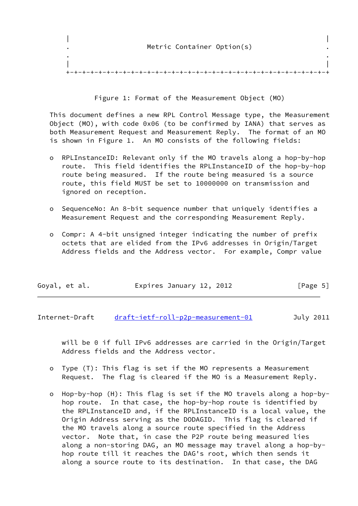|  | Metric Container Option(s) |  |
|--|----------------------------|--|
|  |                            |  |
|  |                            |  |

Figure 1: Format of the Measurement Object (MO)

 This document defines a new RPL Control Message type, the Measurement Object (MO), with code 0x06 (to be confirmed by IANA) that serves as both Measurement Request and Measurement Reply. The format of an MO is shown in Figure 1. An MO consists of the following fields:

- o RPLInstanceID: Relevant only if the MO travels along a hop-by-hop route. This field identifies the RPLInstanceID of the hop-by-hop route being measured. If the route being measured is a source route, this field MUST be set to 10000000 on transmission and ignored on reception.
- o SequenceNo: An 8-bit sequence number that uniquely identifies a Measurement Request and the corresponding Measurement Reply.
- o Compr: A 4-bit unsigned integer indicating the number of prefix octets that are elided from the IPv6 addresses in Origin/Target Address fields and the Address vector. For example, Compr value

| Goyal, et al. | Expires January 12, 2012 |  | [Page 5] |
|---------------|--------------------------|--|----------|
|---------------|--------------------------|--|----------|

Internet-Draft [draft-ietf-roll-p2p-measurement-01](https://datatracker.ietf.org/doc/pdf/draft-ietf-roll-p2p-measurement-01) July 2011

 will be 0 if full IPv6 addresses are carried in the Origin/Target Address fields and the Address vector.

- o Type (T): This flag is set if the MO represents a Measurement Request. The flag is cleared if the MO is a Measurement Reply.
- o Hop-by-hop (H): This flag is set if the MO travels along a hop-by hop route. In that case, the hop-by-hop route is identified by the RPLInstanceID and, if the RPLInstanceID is a local value, the Origin Address serving as the DODAGID. This flag is cleared if the MO travels along a source route specified in the Address vector. Note that, in case the P2P route being measured lies along a non-storing DAG, an MO message may travel along a hop-by hop route till it reaches the DAG's root, which then sends it along a source route to its destination. In that case, the DAG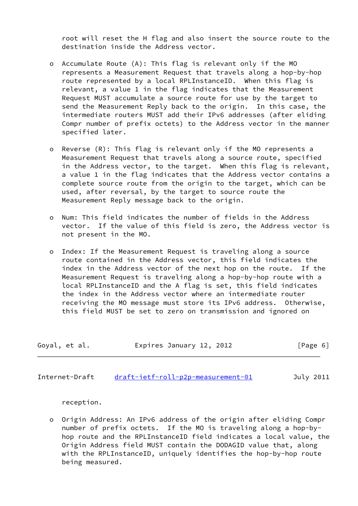root will reset the H flag and also insert the source route to the destination inside the Address vector.

- o Accumulate Route (A): This flag is relevant only if the MO represents a Measurement Request that travels along a hop-by-hop route represented by a local RPLInstanceID. When this flag is relevant, a value 1 in the flag indicates that the Measurement Request MUST accumulate a source route for use by the target to send the Measurement Reply back to the origin. In this case, the intermediate routers MUST add their IPv6 addresses (after eliding Compr number of prefix octets) to the Address vector in the manner specified later.
- o Reverse (R): This flag is relevant only if the MO represents a Measurement Request that travels along a source route, specified in the Address vector, to the target. When this flag is relevant, a value 1 in the flag indicates that the Address vector contains a complete source route from the origin to the target, which can be used, after reversal, by the target to source route the Measurement Reply message back to the origin.
- o Num: This field indicates the number of fields in the Address vector. If the value of this field is zero, the Address vector is not present in the MO.
- o Index: If the Measurement Request is traveling along a source route contained in the Address vector, this field indicates the index in the Address vector of the next hop on the route. If the Measurement Request is traveling along a hop-by-hop route with a local RPLInstanceID and the A flag is set, this field indicates the index in the Address vector where an intermediate router receiving the MO message must store its IPv6 address. Otherwise, this field MUST be set to zero on transmission and ignored on

| Goyal, et al. | Expires January 12, 2012 | [Page 6] |
|---------------|--------------------------|----------|
|---------------|--------------------------|----------|

Internet-Draft [draft-ietf-roll-p2p-measurement-01](https://datatracker.ietf.org/doc/pdf/draft-ietf-roll-p2p-measurement-01) July 2011

reception.

 o Origin Address: An IPv6 address of the origin after eliding Compr number of prefix octets. If the MO is traveling along a hop-by hop route and the RPLInstanceID field indicates a local value, the Origin Address field MUST contain the DODAGID value that, along with the RPLInstanceID, uniquely identifies the hop-by-hop route being measured.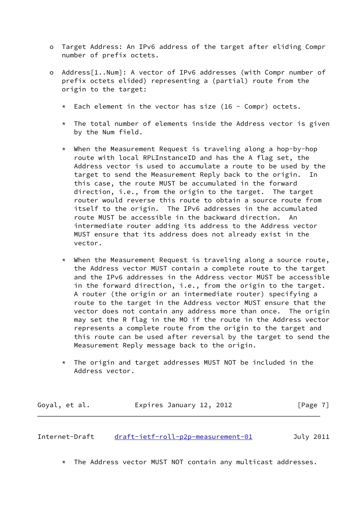- o Target Address: An IPv6 address of the target after eliding Compr number of prefix octets.
- o Address[1..Num]: A vector of IPv6 addresses (with Compr number of prefix octets elided) representing a (partial) route from the origin to the target:
	- $*$  Each element in the vector has size (16 Compr) octets.
	- $*$  The total number of elements inside the Address vector is given by the Num field.
	- \* When the Measurement Request is traveling along a hop-by-hop route with local RPLInstanceID and has the A flag set, the Address vector is used to accumulate a route to be used by the target to send the Measurement Reply back to the origin. In this case, the route MUST be accumulated in the forward direction, i.e., from the origin to the target. The target router would reverse this route to obtain a source route from itself to the origin. The IPv6 addresses in the accumulated route MUST be accessible in the backward direction. An intermediate router adding its address to the Address vector MUST ensure that its address does not already exist in the vector.
	- \* When the Measurement Request is traveling along a source route, the Address vector MUST contain a complete route to the target and the IPv6 addresses in the Address vector MUST be accessible in the forward direction, i.e., from the origin to the target. A router (the origin or an intermediate router) specifying a route to the target in the Address vector MUST ensure that the vector does not contain any address more than once. The origin may set the R flag in the MO if the route in the Address vector represents a complete route from the origin to the target and this route can be used after reversal by the target to send the Measurement Reply message back to the origin.
	- \* The origin and target addresses MUST NOT be included in the Address vector.

| Goyal, et al. | Expires January 12, 2012 | [Page 7] |
|---------------|--------------------------|----------|
|---------------|--------------------------|----------|

<span id="page-7-0"></span>Internet-Draft [draft-ietf-roll-p2p-measurement-01](https://datatracker.ietf.org/doc/pdf/draft-ietf-roll-p2p-measurement-01) July 2011

\* The Address vector MUST NOT contain any multicast addresses.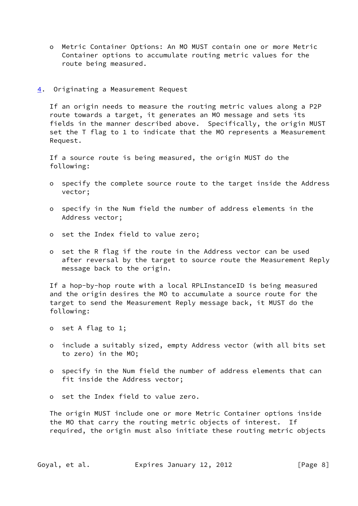- o Metric Container Options: An MO MUST contain one or more Metric Container options to accumulate routing metric values for the route being measured.
- <span id="page-8-0"></span>[4](#page-8-0). Originating a Measurement Request

 If an origin needs to measure the routing metric values along a P2P route towards a target, it generates an MO message and sets its fields in the manner described above. Specifically, the origin MUST set the T flag to 1 to indicate that the MO represents a Measurement Request.

 If a source route is being measured, the origin MUST do the following:

- o specify the complete source route to the target inside the Address vector;
- o specify in the Num field the number of address elements in the Address vector;
- o set the Index field to value zero;
- o set the R flag if the route in the Address vector can be used after reversal by the target to source route the Measurement Reply message back to the origin.

 If a hop-by-hop route with a local RPLInstanceID is being measured and the origin desires the MO to accumulate a source route for the target to send the Measurement Reply message back, it MUST do the following:

- o set A flag to 1;
- o include a suitably sized, empty Address vector (with all bits set to zero) in the MO;
- o specify in the Num field the number of address elements that can fit inside the Address vector;
- o set the Index field to value zero.

 The origin MUST include one or more Metric Container options inside the MO that carry the routing metric objects of interest. If required, the origin must also initiate these routing metric objects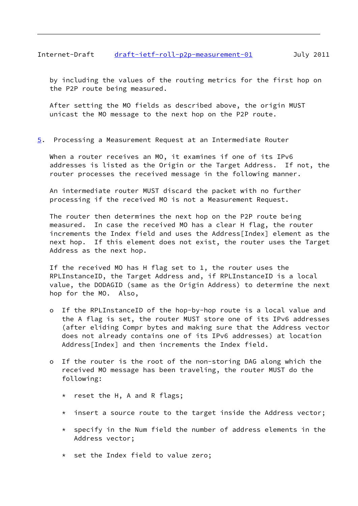## <span id="page-9-1"></span>Internet-Draft [draft-ietf-roll-p2p-measurement-01](https://datatracker.ietf.org/doc/pdf/draft-ietf-roll-p2p-measurement-01) July 2011

 by including the values of the routing metrics for the first hop on the P2P route being measured.

 After setting the MO fields as described above, the origin MUST unicast the MO message to the next hop on the P2P route.

<span id="page-9-0"></span>[5](#page-9-0). Processing a Measurement Request at an Intermediate Router

 When a router receives an MO, it examines if one of its IPv6 addresses is listed as the Origin or the Target Address. If not, the router processes the received message in the following manner.

 An intermediate router MUST discard the packet with no further processing if the received MO is not a Measurement Request.

 The router then determines the next hop on the P2P route being measured. In case the received MO has a clear H flag, the router increments the Index field and uses the Address[Index] element as the next hop. If this element does not exist, the router uses the Target Address as the next hop.

 If the received MO has H flag set to 1, the router uses the RPLInstanceID, the Target Address and, if RPLInstanceID is a local value, the DODAGID (same as the Origin Address) to determine the next hop for the MO. Also,

- o If the RPLInstanceID of the hop-by-hop route is a local value and the A flag is set, the router MUST store one of its IPv6 addresses (after eliding Compr bytes and making sure that the Address vector does not already contains one of its IPv6 addresses) at location Address[Index] and then increments the Index field.
- o If the router is the root of the non-storing DAG along which the received MO message has been traveling, the router MUST do the following:
	- \* reset the H, A and R flags;
	- \* insert a source route to the target inside the Address vector;
	- \* specify in the Num field the number of address elements in the Address vector;
	- \* set the Index field to value zero;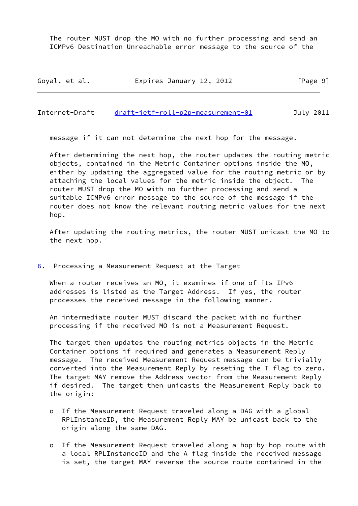The router MUST drop the MO with no further processing and send an ICMPv6 Destination Unreachable error message to the source of the

| Goyal, et al. | Expires January 12, 2012 | [Page 9] |
|---------------|--------------------------|----------|
|---------------|--------------------------|----------|

<span id="page-10-1"></span>Internet-Draft [draft-ietf-roll-p2p-measurement-01](https://datatracker.ietf.org/doc/pdf/draft-ietf-roll-p2p-measurement-01) July 2011

message if it can not determine the next hop for the message.

 After determining the next hop, the router updates the routing metric objects, contained in the Metric Container options inside the MO, either by updating the aggregated value for the routing metric or by attaching the local values for the metric inside the object. The router MUST drop the MO with no further processing and send a suitable ICMPv6 error message to the source of the message if the router does not know the relevant routing metric values for the next hop.

 After updating the routing metrics, the router MUST unicast the MO to the next hop.

<span id="page-10-0"></span>[6](#page-10-0). Processing a Measurement Request at the Target

When a router receives an MO, it examines if one of its IPv6 addresses is listed as the Target Address. If yes, the router processes the received message in the following manner.

 An intermediate router MUST discard the packet with no further processing if the received MO is not a Measurement Request.

 The target then updates the routing metrics objects in the Metric Container options if required and generates a Measurement Reply message. The received Measurement Request message can be trivially converted into the Measurement Reply by reseting the T flag to zero. The target MAY remove the Address vector from the Measurement Reply if desired. The target then unicasts the Measurement Reply back to the origin:

- o If the Measurement Request traveled along a DAG with a global RPLInstanceID, the Measurement Reply MAY be unicast back to the origin along the same DAG.
- o If the Measurement Request traveled along a hop-by-hop route with a local RPLInstanceID and the A flag inside the received message is set, the target MAY reverse the source route contained in the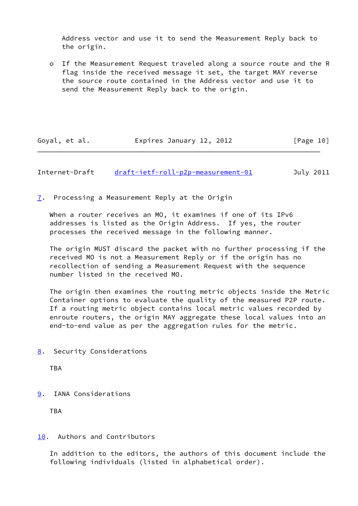Address vector and use it to send the Measurement Reply back to the origin.

 o If the Measurement Request traveled along a source route and the R flag inside the received message it set, the target MAY reverse the source route contained in the Address vector and use it to send the Measurement Reply back to the origin.

| Goyal, et al. | Expires January 12, 2012 | [Page 10] |
|---------------|--------------------------|-----------|
|---------------|--------------------------|-----------|

<span id="page-11-1"></span>Internet-Draft [draft-ietf-roll-p2p-measurement-01](https://datatracker.ietf.org/doc/pdf/draft-ietf-roll-p2p-measurement-01) July 2011

<span id="page-11-0"></span>[7](#page-11-0). Processing a Measurement Reply at the Origin

When a router receives an MO, it examines if one of its IPv6 addresses is listed as the Origin Address. If yes, the router processes the received message in the following manner.

 The origin MUST discard the packet with no further processing if the received MO is not a Measurement Reply or if the origin has no recollection of sending a Measurement Request with the sequence number listed in the received MO.

 The origin then examines the routing metric objects inside the Metric Container options to evaluate the quality of the measured P2P route. If a routing metric object contains local metric values recorded by enroute routers, the origin MAY aggregate these local values into an end-to-end value as per the aggregation rules for the metric.

<span id="page-11-2"></span>[8](#page-11-2). Security Considerations

TBA

<span id="page-11-3"></span>[9](#page-11-3). IANA Considerations

TBA

## <span id="page-11-4"></span>[10.](#page-11-4) Authors and Contributors

 In addition to the editors, the authors of this document include the following individuals (listed in alphabetical order).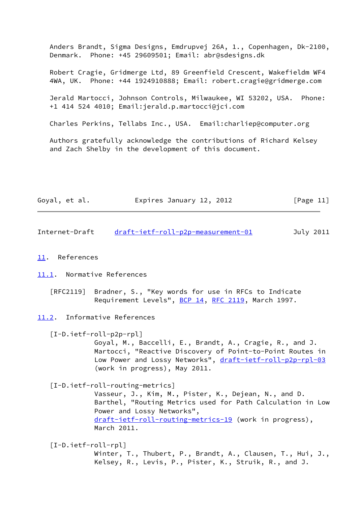Anders Brandt, Sigma Designs, Emdrupvej 26A, 1., Copenhagen, Dk-2100, Denmark. Phone: +45 29609501; Email: abr@sdesigns.dk

 Robert Cragie, Gridmerge Ltd, 89 Greenfield Crescent, Wakefieldm WF4 4WA, UK. Phone: +44 1924910888; Email: robert.cragie@gridmerge.com

 Jerald Martocci, Johnson Controls, Milwaukee, WI 53202, USA. Phone: +1 414 524 4010; Email:jerald.p.martocci@jci.com

Charles Perkins, Tellabs Inc., USA. Email:charliep@computer.org

 Authors gratefully acknowledge the contributions of Richard Kelsey and Zach Shelby in the development of this document.

| Goyal, et al. | Expires January 12, 2012 | [Page 11] |
|---------------|--------------------------|-----------|
|---------------|--------------------------|-----------|

<span id="page-12-1"></span>Internet-Draft [draft-ietf-roll-p2p-measurement-01](https://datatracker.ietf.org/doc/pdf/draft-ietf-roll-p2p-measurement-01) July 2011

#### <span id="page-12-0"></span>[11.](#page-12-0) References

<span id="page-12-2"></span>[11.1](#page-12-2). Normative References

- [RFC2119] Bradner, S., "Key words for use in RFCs to Indicate Requirement Levels", **BCP 14, [RFC 2119](https://datatracker.ietf.org/doc/pdf/rfc2119)**, March 1997.
- <span id="page-12-3"></span>[11.2](#page-12-3). Informative References

<span id="page-12-5"></span>[I-D.ietf-roll-p2p-rpl]

 Goyal, M., Baccelli, E., Brandt, A., Cragie, R., and J. Martocci, "Reactive Discovery of Point-to-Point Routes in Low Power and Lossy Networks", [draft-ietf-roll-p2p-rpl-03](https://datatracker.ietf.org/doc/pdf/draft-ietf-roll-p2p-rpl-03) (work in progress), May 2011.

<span id="page-12-6"></span>[I-D.ietf-roll-routing-metrics]

 Vasseur, J., Kim, M., Pister, K., Dejean, N., and D. Barthel, "Routing Metrics used for Path Calculation in Low Power and Lossy Networks", [draft-ietf-roll-routing-metrics-19](https://datatracker.ietf.org/doc/pdf/draft-ietf-roll-routing-metrics-19) (work in progress), March 2011.

<span id="page-12-4"></span>[I-D.ietf-roll-rpl]

 Winter, T., Thubert, P., Brandt, A., Clausen, T., Hui, J., Kelsey, R., Levis, P., Pister, K., Struik, R., and J.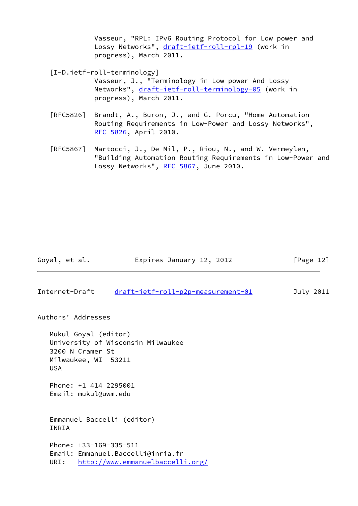Vasseur, "RPL: IPv6 Routing Protocol for Low power and Lossy Networks", [draft-ietf-roll-rpl-19](https://datatracker.ietf.org/doc/pdf/draft-ietf-roll-rpl-19) (work in progress), March 2011.

<span id="page-13-0"></span>[I-D.ietf-roll-terminology]

- Vasseur, J., "Terminology in Low power And Lossy Networks", [draft-ietf-roll-terminology-05](https://datatracker.ietf.org/doc/pdf/draft-ietf-roll-terminology-05) (work in progress), March 2011.
- [RFC5826] Brandt, A., Buron, J., and G. Porcu, "Home Automation Routing Requirements in Low-Power and Lossy Networks", [RFC 5826,](https://datatracker.ietf.org/doc/pdf/rfc5826) April 2010.
- [RFC5867] Martocci, J., De Mil, P., Riou, N., and W. Vermeylen, "Building Automation Routing Requirements in Low-Power and Lossy Networks", [RFC 5867,](https://datatracker.ietf.org/doc/pdf/rfc5867) June 2010.

Goyal, et al. **Expires January 12, 2012** [Page 12]

Internet-Draft [draft-ietf-roll-p2p-measurement-01](https://datatracker.ietf.org/doc/pdf/draft-ietf-roll-p2p-measurement-01) July 2011

Authors' Addresses

 Mukul Goyal (editor) University of Wisconsin Milwaukee 3200 N Cramer St Milwaukee, WI 53211 USA Phone: +1 414 2295001 Email: mukul@uwm.edu Emmanuel Baccelli (editor) INRIA Phone: +33-169-335-511 Email: Emmanuel.Baccelli@inria.fr URI: <http://www.emmanuelbaccelli.org/>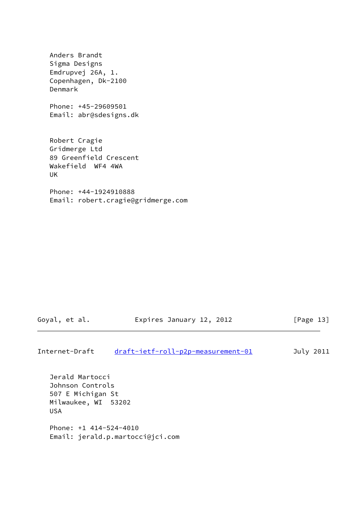Anders Brandt Sigma Designs Emdrupvej 26A, 1. Copenhagen, Dk-2100 Denmark Phone: +45-29609501 Email: abr@sdesigns.dk Robert Cragie Gridmerge Ltd 89 Greenfield Crescent Wakefield WF4 4WA UK Phone: +44-1924910888 Email: robert.cragie@gridmerge.com

Goyal, et al. **Expires January 12, 2012** [Page 13]

Internet-Draft [draft-ietf-roll-p2p-measurement-01](https://datatracker.ietf.org/doc/pdf/draft-ietf-roll-p2p-measurement-01) July 2011

 Jerald Martocci Johnson Controls 507 E Michigan St Milwaukee, WI 53202 USA Phone: +1 414-524-4010 Email: jerald.p.martocci@jci.com